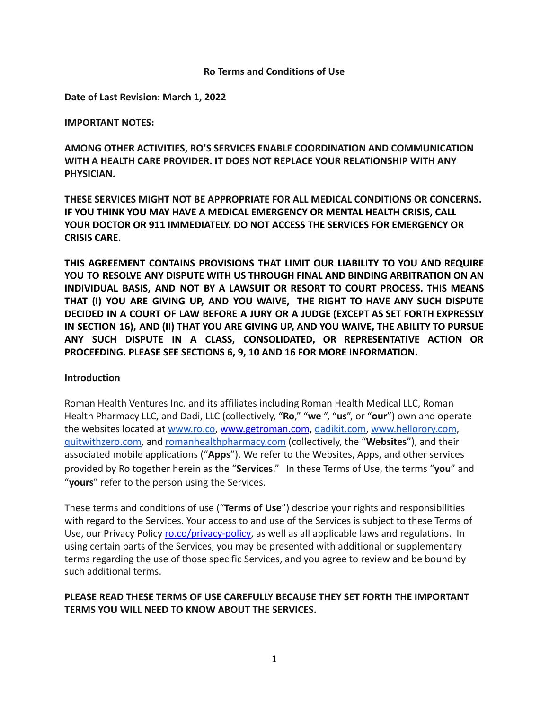#### **Ro Terms and Conditions of Use**

**Date of Last Revision: March 1, 2022**

#### **IMPORTANT NOTES:**

**AMONG OTHER ACTIVITIES, RO'S SERVICES ENABLE COORDINATION AND COMMUNICATION WITH A HEALTH CARE PROVIDER. IT DOES NOT REPLACE YOUR RELATIONSHIP WITH ANY PHYSICIAN.**

**THESE SERVICES MIGHT NOT BE APPROPRIATE FOR ALL MEDICAL CONDITIONS OR CONCERNS. IF YOU THINK YOU MAY HAVE A MEDICAL EMERGENCY OR MENTAL HEALTH CRISIS, CALL YOUR DOCTOR OR 911 IMMEDIATELY. DO NOT ACCESS THE SERVICES FOR EMERGENCY OR CRISIS CARE.**

**THIS AGREEMENT CONTAINS PROVISIONS THAT LIMIT OUR LIABILITY TO YOU AND REQUIRE YOU TO RESOLVE ANY DISPUTE WITH US THROUGH FINAL AND BINDING ARBITRATION ON AN INDIVIDUAL BASIS, AND NOT BY A LAWSUIT OR RESORT TO COURT PROCESS. THIS MEANS THAT (I) YOU ARE GIVING UP, AND YOU WAIVE, THE RIGHT TO HAVE ANY SUCH DISPUTE DECIDED IN A COURT OF LAW BEFORE A JURY OR A JUDGE (EXCEPT AS SET FORTH EXPRESSLY IN SECTION 16), AND (II) THAT YOU ARE GIVING UP, AND YOU WAIVE, THE ABILITY TO PURSUE ANY SUCH DISPUTE IN A CLASS, CONSOLIDATED, OR REPRESENTATIVE ACTION OR PROCEEDING. PLEASE SEE SECTIONS 6, 9, 10 AND 16 FOR MORE INFORMATION.**

### **Introduction**

Roman Health Ventures Inc. and its affiliates including Roman Health Medical LLC, Roman Health Pharmacy LLC, and Dadi, LLC (collectively, "**Ro**," "**we** ", "**us**", or "**our**") own and operate the websites located at [www.ro.co](http://www.ro.co), [www.getroman.com](http://www.getroman.com), [dadikit.com](https://www.dadikit.com/), [www.hellorory.com](http://www.hellorory.com), [quitwithzero.com,](https://quitwithzero.com/) and [romanhealthpharmacy.com](https://www.romanhealthpharmacy.com/) (collectively, the "**Websites**"), and their associated mobile applications ("**Apps**"). We refer to the Websites, Apps, and other services provided by Ro together herein as the "**Services**." In these Terms of Use, the terms "**you**" and "**yours**" refer to the person using the Services.

These terms and conditions of use ("**Terms of Use**") describe your rights and responsibilities with regard to the Services. Your access to and use of the Services is subject to these Terms of Use, our Privacy Policy [ro.co/privacy-policy](https://ro.co/privacy-policy), as well as all applicable laws and regulations. In using certain parts of the Services, you may be presented with additional or supplementary terms regarding the use of those specific Services, and you agree to review and be bound by such additional terms.

### **PLEASE READ THESE TERMS OF USE CAREFULLY BECAUSE THEY SET FORTH THE IMPORTANT TERMS YOU WILL NEED TO KNOW ABOUT THE SERVICES.**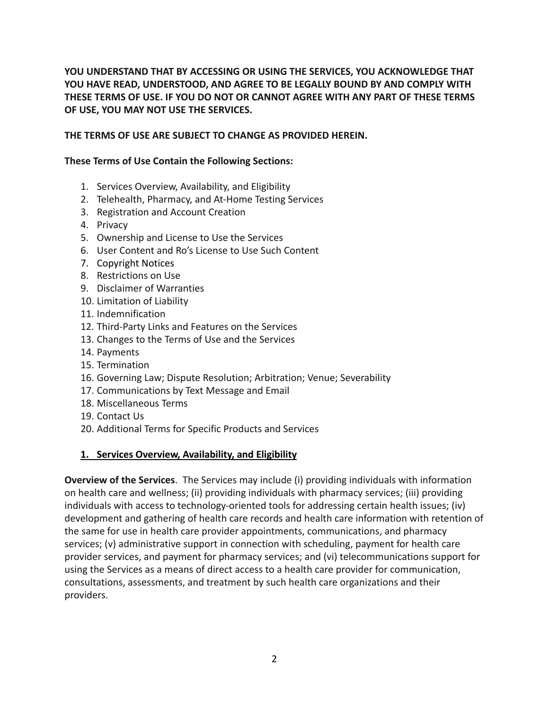**YOU UNDERSTAND THAT BY ACCESSING OR USING THE SERVICES, YOU ACKNOWLEDGE THAT YOU HAVE READ, UNDERSTOOD, AND AGREE TO BE LEGALLY BOUND BY AND COMPLY WITH THESE TERMS OF USE. IF YOU DO NOT OR CANNOT AGREE WITH ANY PART OF THESE TERMS OF USE, YOU MAY NOT USE THE SERVICES.**

## **THE TERMS OF USE ARE SUBJECT TO CHANGE AS PROVIDED HEREIN.**

### **These Terms of Use Contain the Following Sections:**

- 1. Services Overview, Availability, and Eligibility
- 2. Telehealth, Pharmacy, and At-Home Testing Services
- 3. Registration and Account Creation
- 4. Privacy
- 5. Ownership and License to Use the Services
- 6. User Content and Ro's License to Use Such Content
- 7. Copyright Notices
- 8. Restrictions on Use
- 9. Disclaimer of Warranties
- 10. Limitation of Liability
- 11. Indemnification
- 12. Third-Party Links and Features on the Services
- 13. Changes to the Terms of Use and the Services
- 14. Payments
- 15. Termination
- 16. Governing Law; Dispute Resolution; Arbitration; Venue; Severability
- 17. Communications by Text Message and Email
- 18. Miscellaneous Terms
- 19. Contact Us
- 20. Additional Terms for Specific Products and Services

### **1. Services Overview, Availability, and Eligibility**

**Overview of the Services**. The Services may include (i) providing individuals with information on health care and wellness; (ii) providing individuals with pharmacy services; (iii) providing individuals with access to technology-oriented tools for addressing certain health issues; (iv) development and gathering of health care records and health care information with retention of the same for use in health care provider appointments, communications, and pharmacy services; (v) administrative support in connection with scheduling, payment for health care provider services, and payment for pharmacy services; and (vi) telecommunications support for using the Services as a means of direct access to a health care provider for communication, consultations, assessments, and treatment by such health care organizations and their providers.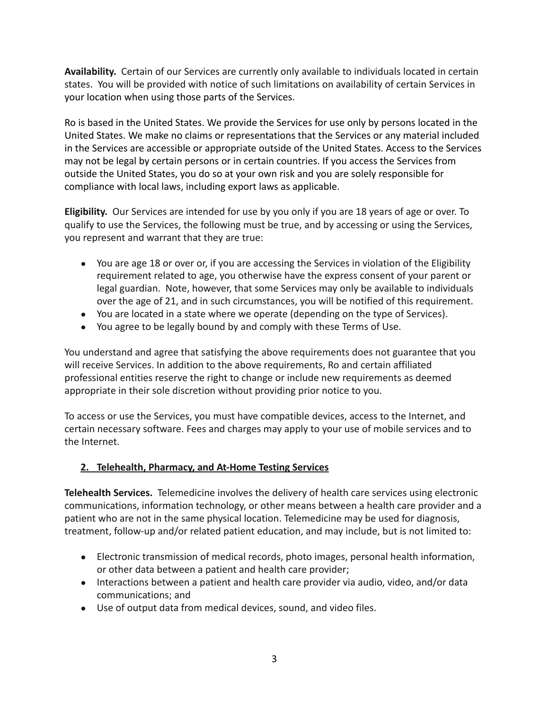**Availability.** Certain of our Services are currently only available to individuals located in certain states. You will be provided with notice of such limitations on availability of certain Services in your location when using those parts of the Services.

Ro is based in the United States. We provide the Services for use only by persons located in the United States. We make no claims or representations that the Services or any material included in the Services are accessible or appropriate outside of the United States. Access to the Services may not be legal by certain persons or in certain countries. If you access the Services from outside the United States, you do so at your own risk and you are solely responsible for compliance with local laws, including export laws as applicable.

**Eligibility.** Our Services are intended for use by you only if you are 18 years of age or over. To qualify to use the Services, the following must be true, and by accessing or using the Services, you represent and warrant that they are true:

- You are age 18 or over or, if you are accessing the Services in violation of the Eligibility requirement related to age, you otherwise have the express consent of your parent or legal guardian. Note, however, that some Services may only be available to individuals over the age of 21, and in such circumstances, you will be notified of this requirement.
- You are located in a state where we operate (depending on the type of Services).
- You agree to be legally bound by and comply with these Terms of Use.

You understand and agree that satisfying the above requirements does not guarantee that you will receive Services. In addition to the above requirements, Ro and certain affiliated professional entities reserve the right to change or include new requirements as deemed appropriate in their sole discretion without providing prior notice to you.

To access or use the Services, you must have compatible devices, access to the Internet, and certain necessary software. Fees and charges may apply to your use of mobile services and to the Internet.

## **2. Telehealth, Pharmacy, and At-Home Testing Services**

**Telehealth Services.** Telemedicine involves the delivery of health care services using electronic communications, information technology, or other means between a health care provider and a patient who are not in the same physical location. Telemedicine may be used for diagnosis, treatment, follow-up and/or related patient education, and may include, but is not limited to:

- Electronic transmission of medical records, photo images, personal health information, or other data between a patient and health care provider;
- Interactions between a patient and health care provider via audio, video, and/or data communications; and
- Use of output data from medical devices, sound, and video files.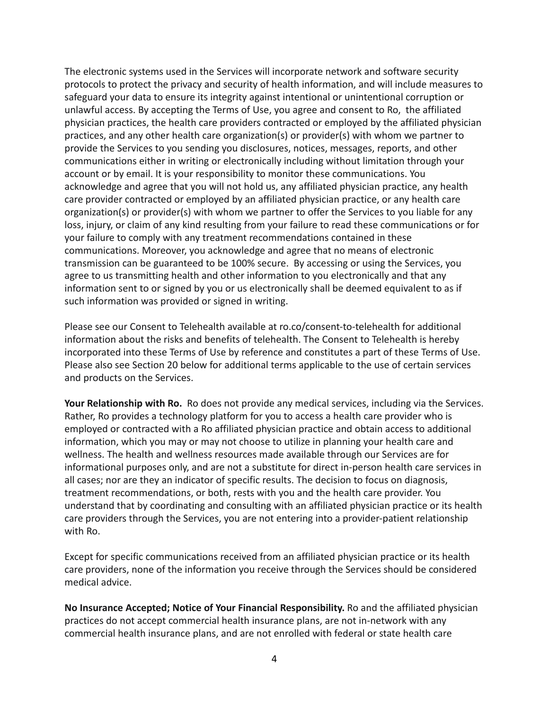The electronic systems used in the Services will incorporate network and software security protocols to protect the privacy and security of health information, and will include measures to safeguard your data to ensure its integrity against intentional or unintentional corruption or unlawful access. By accepting the Terms of Use, you agree and consent to Ro, the affiliated physician practices, the health care providers contracted or employed by the affiliated physician practices, and any other health care organization(s) or provider(s) with whom we partner to provide the Services to you sending you disclosures, notices, messages, reports, and other communications either in writing or electronically including without limitation through your account or by email. It is your responsibility to monitor these communications. You acknowledge and agree that you will not hold us, any affiliated physician practice, any health care provider contracted or employed by an affiliated physician practice, or any health care organization(s) or provider(s) with whom we partner to offer the Services to you liable for any loss, injury, or claim of any kind resulting from your failure to read these communications or for your failure to comply with any treatment recommendations contained in these communications. Moreover, you acknowledge and agree that no means of electronic transmission can be guaranteed to be 100% secure. By accessing or using the Services, you agree to us transmitting health and other information to you electronically and that any information sent to or signed by you or us electronically shall be deemed equivalent to as if such information was provided or signed in writing.

Please see our Consent to Telehealth available at ro.co/consent-to-telehealth for additional information about the risks and benefits of telehealth. The Consent to Telehealth is hereby incorporated into these Terms of Use by reference and constitutes a part of these Terms of Use. Please also see Section 20 below for additional terms applicable to the use of certain services and products on the Services.

**Your Relationship with Ro.** Ro does not provide any medical services, including via the Services. Rather, Ro provides a technology platform for you to access a health care provider who is employed or contracted with a Ro affiliated physician practice and obtain access to additional information, which you may or may not choose to utilize in planning your health care and wellness. The health and wellness resources made available through our Services are for informational purposes only, and are not a substitute for direct in-person health care services in all cases; nor are they an indicator of specific results. The decision to focus on diagnosis, treatment recommendations, or both, rests with you and the health care provider. You understand that by coordinating and consulting with an affiliated physician practice or its health care providers through the Services, you are not entering into a provider-patient relationship with Ro.

Except for specific communications received from an affiliated physician practice or its health care providers, none of the information you receive through the Services should be considered medical advice.

**No Insurance Accepted; Notice of Your Financial Responsibility.** Ro and the affiliated physician practices do not accept commercial health insurance plans, are not in-network with any commercial health insurance plans, and are not enrolled with federal or state health care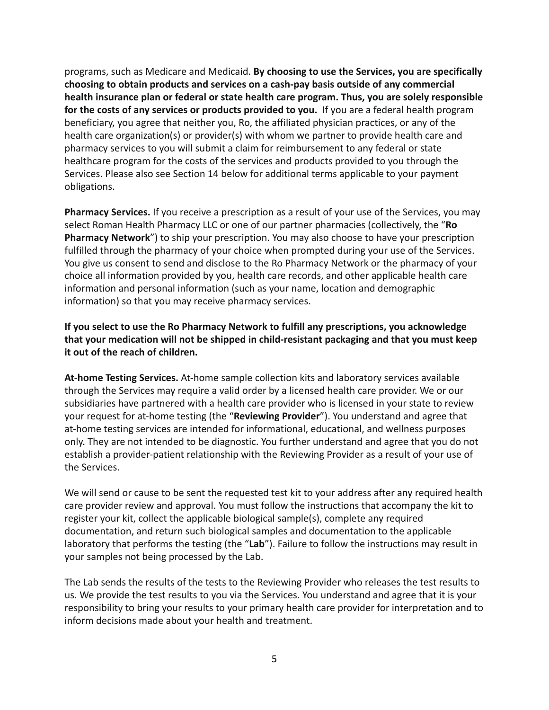programs, such as Medicare and Medicaid. **By choosing to use the Services, you are specifically choosing to obtain products and services on a cash-pay basis outside of any commercial health insurance plan or federal or state health care program. Thus, you are solely responsible for the costs of any services or products provided to you.** If you are a federal health program beneficiary, you agree that neither you, Ro, the affiliated physician practices, or any of the health care organization(s) or provider(s) with whom we partner to provide health care and pharmacy services to you will submit a claim for reimbursement to any federal or state healthcare program for the costs of the services and products provided to you through the Services. Please also see Section 14 below for additional terms applicable to your payment obligations.

**Pharmacy Services.** If you receive a prescription as a result of your use of the Services, you may select Roman Health Pharmacy LLC or one of our partner pharmacies (collectively, the "**Ro Pharmacy Network**") to ship your prescription. You may also choose to have your prescription fulfilled through the pharmacy of your choice when prompted during your use of the Services. You give us consent to send and disclose to the Ro Pharmacy Network or the pharmacy of your choice all information provided by you, health care records, and other applicable health care information and personal information (such as your name, location and demographic information) so that you may receive pharmacy services.

**If you select to use the Ro Pharmacy Network to fulfill any prescriptions, you acknowledge that your medication will not be shipped in child-resistant packaging and that you must keep it out of the reach of children.**

**At-home Testing Services.** At-home sample collection kits and laboratory services available through the Services may require a valid order by a licensed health care provider. We or our subsidiaries have partnered with a health care provider who is licensed in your state to review your request for at-home testing (the "**Reviewing Provider**"). You understand and agree that at-home testing services are intended for informational, educational, and wellness purposes only. They are not intended to be diagnostic. You further understand and agree that you do not establish a provider-patient relationship with the Reviewing Provider as a result of your use of the Services.

We will send or cause to be sent the requested test kit to your address after any required health care provider review and approval. You must follow the instructions that accompany the kit to register your kit, collect the applicable biological sample(s), complete any required documentation, and return such biological samples and documentation to the applicable laboratory that performs the testing (the "**Lab**"). Failure to follow the instructions may result in your samples not being processed by the Lab.

The Lab sends the results of the tests to the Reviewing Provider who releases the test results to us. We provide the test results to you via the Services. You understand and agree that it is your responsibility to bring your results to your primary health care provider for interpretation and to inform decisions made about your health and treatment.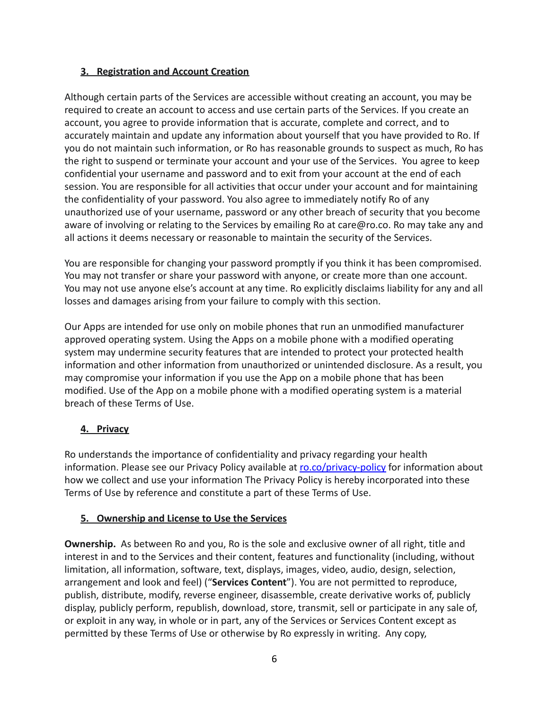## **3. Registration and Account Creation**

Although certain parts of the Services are accessible without creating an account, you may be required to create an account to access and use certain parts of the Services. If you create an account, you agree to provide information that is accurate, complete and correct, and to accurately maintain and update any information about yourself that you have provided to Ro. If you do not maintain such information, or Ro has reasonable grounds to suspect as much, Ro has the right to suspend or terminate your account and your use of the Services. You agree to keep confidential your username and password and to exit from your account at the end of each session. You are responsible for all activities that occur under your account and for maintaining the confidentiality of your password. You also agree to immediately notify Ro of any unauthorized use of your username, password or any other breach of security that you become aware of involving or relating to the Services by emailing Ro at care@ro.co. Ro may take any and all actions it deems necessary or reasonable to maintain the security of the Services.

You are responsible for changing your password promptly if you think it has been compromised. You may not transfer or share your password with anyone, or create more than one account. You may not use anyone else's account at any time. Ro explicitly disclaims liability for any and all losses and damages arising from your failure to comply with this section.

Our Apps are intended for use only on mobile phones that run an unmodified manufacturer approved operating system. Using the Apps on a mobile phone with a modified operating system may undermine security features that are intended to protect your protected health information and other information from unauthorized or unintended disclosure. As a result, you may compromise your information if you use the App on a mobile phone that has been modified. Use of the App on a mobile phone with a modified operating system is a material breach of these Terms of Use.

# **4. Privacy**

Ro understands the importance of confidentiality and privacy regarding your health information. Please see our Privacy Policy available at [ro.co/privacy-policy](https://ro.co/privacy-policy) for information about how we collect and use your information The Privacy Policy is hereby incorporated into these Terms of Use by reference and constitute a part of these Terms of Use.

## **5. Ownership and License to Use the Services**

**Ownership.** As between Ro and you, Ro is the sole and exclusive owner of all right, title and interest in and to the Services and their content, features and functionality (including, without limitation, all information, software, text, displays, images, video, audio, design, selection, arrangement and look and feel) ("**Services Content**"). You are not permitted to reproduce, publish, distribute, modify, reverse engineer, disassemble, create derivative works of, publicly display, publicly perform, republish, download, store, transmit, sell or participate in any sale of, or exploit in any way, in whole or in part, any of the Services or Services Content except as permitted by these Terms of Use or otherwise by Ro expressly in writing. Any copy,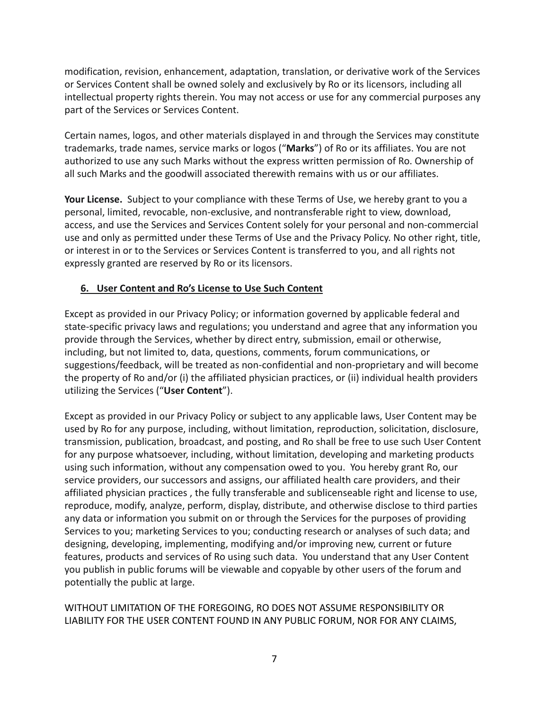modification, revision, enhancement, adaptation, translation, or derivative work of the Services or Services Content shall be owned solely and exclusively by Ro or its licensors, including all intellectual property rights therein. You may not access or use for any commercial purposes any part of the Services or Services Content.

Certain names, logos, and other materials displayed in and through the Services may constitute trademarks, trade names, service marks or logos ("**Marks**") of Ro or its affiliates. You are not authorized to use any such Marks without the express written permission of Ro. Ownership of all such Marks and the goodwill associated therewith remains with us or our affiliates.

**Your License.** Subject to your compliance with these Terms of Use, we hereby grant to you a personal, limited, revocable, non-exclusive, and nontransferable right to view, download, access, and use the Services and Services Content solely for your personal and non-commercial use and only as permitted under these Terms of Use and the Privacy Policy. No other right, title, or interest in or to the Services or Services Content is transferred to you, and all rights not expressly granted are reserved by Ro or its licensors.

## **6. User Content and Ro's License to Use Such Content**

Except as provided in our Privacy Policy; or information governed by applicable federal and state-specific privacy laws and regulations; you understand and agree that any information you provide through the Services, whether by direct entry, submission, email or otherwise, including, but not limited to, data, questions, comments, forum communications, or suggestions/feedback, will be treated as non-confidential and non-proprietary and will become the property of Ro and/or (i) the affiliated physician practices, or (ii) individual health providers utilizing the Services ("**User Content**").

Except as provided in our Privacy Policy or subject to any applicable laws, User Content may be used by Ro for any purpose, including, without limitation, reproduction, solicitation, disclosure, transmission, publication, broadcast, and posting, and Ro shall be free to use such User Content for any purpose whatsoever, including, without limitation, developing and marketing products using such information, without any compensation owed to you. You hereby grant Ro, our service providers, our successors and assigns, our affiliated health care providers, and their affiliated physician practices , the fully transferable and sublicenseable right and license to use, reproduce, modify, analyze, perform, display, distribute, and otherwise disclose to third parties any data or information you submit on or through the Services for the purposes of providing Services to you; marketing Services to you; conducting research or analyses of such data; and designing, developing, implementing, modifying and/or improving new, current or future features, products and services of Ro using such data. You understand that any User Content you publish in public forums will be viewable and copyable by other users of the forum and potentially the public at large.

WITHOUT LIMITATION OF THE FOREGOING, RO DOES NOT ASSUME RESPONSIBILITY OR LIABILITY FOR THE USER CONTENT FOUND IN ANY PUBLIC FORUM, NOR FOR ANY CLAIMS,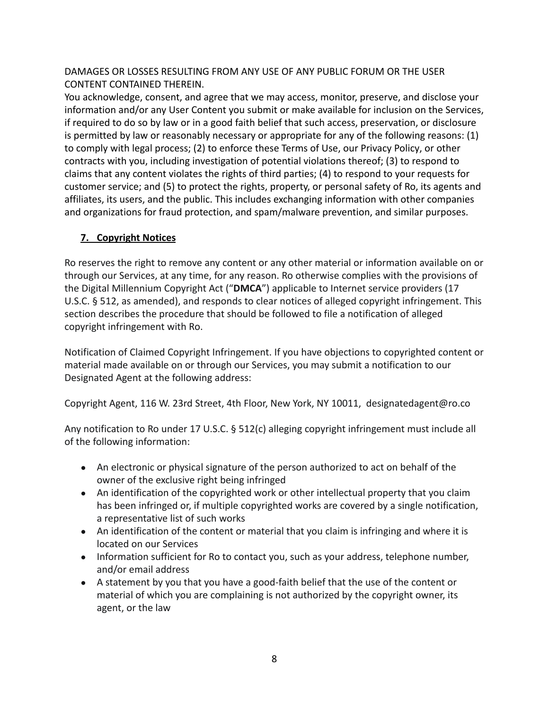DAMAGES OR LOSSES RESULTING FROM ANY USE OF ANY PUBLIC FORUM OR THE USER CONTENT CONTAINED THEREIN.

You acknowledge, consent, and agree that we may access, monitor, preserve, and disclose your information and/or any User Content you submit or make available for inclusion on the Services, if required to do so by law or in a good faith belief that such access, preservation, or disclosure is permitted by law or reasonably necessary or appropriate for any of the following reasons: (1) to comply with legal process; (2) to enforce these Terms of Use, our Privacy Policy, or other contracts with you, including investigation of potential violations thereof; (3) to respond to claims that any content violates the rights of third parties; (4) to respond to your requests for customer service; and (5) to protect the rights, property, or personal safety of Ro, its agents and affiliates, its users, and the public. This includes exchanging information with other companies and organizations for fraud protection, and spam/malware prevention, and similar purposes.

# **7. Copyright Notices**

Ro reserves the right to remove any content or any other material or information available on or through our Services, at any time, for any reason. Ro otherwise complies with the provisions of the Digital Millennium Copyright Act ("**DMCA**") applicable to Internet service providers (17 U.S.C. § 512, as amended), and responds to clear notices of alleged copyright infringement. This section describes the procedure that should be followed to file a notification of alleged copyright infringement with Ro.

Notification of Claimed Copyright Infringement. If you have objections to copyrighted content or material made available on or through our Services, you may submit a notification to our Designated Agent at the following address:

Copyright Agent, 116 W. 23rd Street, 4th Floor, New York, NY 10011, designatedagent@ro.co

Any notification to Ro under 17 U.S.C. § 512(c) alleging copyright infringement must include all of the following information:

- An electronic or physical signature of the person authorized to act on behalf of the owner of the exclusive right being infringed
- An identification of the copyrighted work or other intellectual property that you claim has been infringed or, if multiple copyrighted works are covered by a single notification, a representative list of such works
- An identification of the content or material that you claim is infringing and where it is located on our Services
- Information sufficient for Ro to contact you, such as your address, telephone number, and/or email address
- A statement by you that you have a good-faith belief that the use of the content or material of which you are complaining is not authorized by the copyright owner, its agent, or the law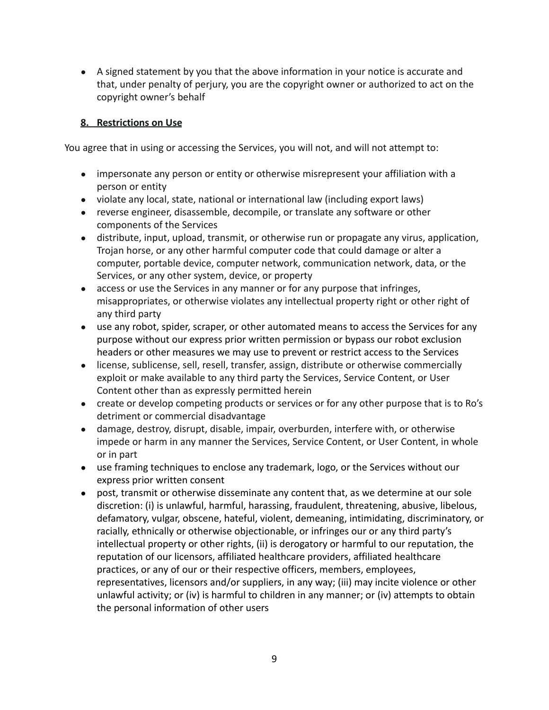● A signed statement by you that the above information in your notice is accurate and that, under penalty of perjury, you are the copyright owner or authorized to act on the copyright owner's behalf

## **8. Restrictions on Use**

You agree that in using or accessing the Services, you will not, and will not attempt to:

- impersonate any person or entity or otherwise misrepresent your affiliation with a person or entity
- violate any local, state, national or international law (including export laws)
- reverse engineer, disassemble, decompile, or translate any software or other components of the Services
- distribute, input, upload, transmit, or otherwise run or propagate any virus, application, Trojan horse, or any other harmful computer code that could damage or alter a computer, portable device, computer network, communication network, data, or the Services, or any other system, device, or property
- access or use the Services in any manner or for any purpose that infringes, misappropriates, or otherwise violates any intellectual property right or other right of any third party
- use any robot, spider, scraper, or other automated means to access the Services for any purpose without our express prior written permission or bypass our robot exclusion headers or other measures we may use to prevent or restrict access to the Services
- license, sublicense, sell, resell, transfer, assign, distribute or otherwise commercially exploit or make available to any third party the Services, Service Content, or User Content other than as expressly permitted herein
- create or develop competing products or services or for any other purpose that is to Ro's detriment or commercial disadvantage
- damage, destroy, disrupt, disable, impair, overburden, interfere with, or otherwise impede or harm in any manner the Services, Service Content, or User Content, in whole or in part
- use framing techniques to enclose any trademark, logo, or the Services without our express prior written consent
- post, transmit or otherwise disseminate any content that, as we determine at our sole discretion: (i) is unlawful, harmful, harassing, fraudulent, threatening, abusive, libelous, defamatory, vulgar, obscene, hateful, violent, demeaning, intimidating, discriminatory, or racially, ethnically or otherwise objectionable, or infringes our or any third party's intellectual property or other rights, (ii) is derogatory or harmful to our reputation, the reputation of our licensors, affiliated healthcare providers, affiliated healthcare practices, or any of our or their respective officers, members, employees, representatives, licensors and/or suppliers, in any way; (iii) may incite violence or other unlawful activity; or (iv) is harmful to children in any manner; or (iv) attempts to obtain the personal information of other users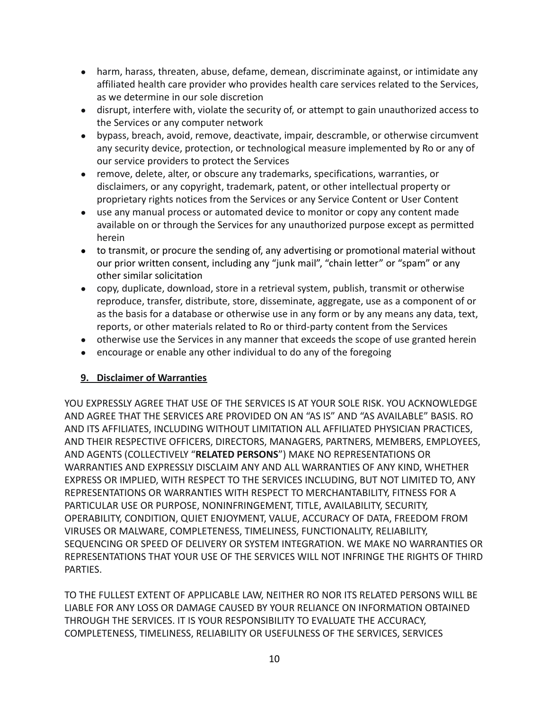- harm, harass, threaten, abuse, defame, demean, discriminate against, or intimidate any affiliated health care provider who provides health care services related to the Services, as we determine in our sole discretion
- disrupt, interfere with, violate the security of, or attempt to gain unauthorized access to the Services or any computer network
- bypass, breach, avoid, remove, deactivate, impair, descramble, or otherwise circumvent any security device, protection, or technological measure implemented by Ro or any of our service providers to protect the Services
- remove, delete, alter, or obscure any trademarks, specifications, warranties, or disclaimers, or any copyright, trademark, patent, or other intellectual property or proprietary rights notices from the Services or any Service Content or User Content
- use any manual process or automated device to monitor or copy any content made available on or through the Services for any unauthorized purpose except as permitted herein
- to transmit, or procure the sending of, any advertising or promotional material without our prior written consent, including any "junk mail", "chain letter" or "spam" or any other similar solicitation
- copy, duplicate, download, store in a retrieval system, publish, transmit or otherwise reproduce, transfer, distribute, store, disseminate, aggregate, use as a component of or as the basis for a database or otherwise use in any form or by any means any data, text, reports, or other materials related to Ro or third-party content from the Services
- otherwise use the Services in any manner that exceeds the scope of use granted herein
- encourage or enable any other individual to do any of the foregoing

## **9. Disclaimer of Warranties**

YOU EXPRESSLY AGREE THAT USE OF THE SERVICES IS AT YOUR SOLE RISK. YOU ACKNOWLEDGE AND AGREE THAT THE SERVICES ARE PROVIDED ON AN "AS IS" AND "AS AVAILABLE" BASIS. RO AND ITS AFFILIATES, INCLUDING WITHOUT LIMITATION ALL AFFILIATED PHYSICIAN PRACTICES, AND THEIR RESPECTIVE OFFICERS, DIRECTORS, MANAGERS, PARTNERS, MEMBERS, EMPLOYEES, AND AGENTS (COLLECTIVELY "**RELATED PERSONS**") MAKE NO REPRESENTATIONS OR WARRANTIES AND EXPRESSLY DISCLAIM ANY AND ALL WARRANTIES OF ANY KIND, WHETHER EXPRESS OR IMPLIED, WITH RESPECT TO THE SERVICES INCLUDING, BUT NOT LIMITED TO, ANY REPRESENTATIONS OR WARRANTIES WITH RESPECT TO MERCHANTABILITY, FITNESS FOR A PARTICULAR USE OR PURPOSE, NONINFRINGEMENT, TITLE, AVAILABILITY, SECURITY, OPERABILITY, CONDITION, QUIET ENJOYMENT, VALUE, ACCURACY OF DATA, FREEDOM FROM VIRUSES OR MALWARE, COMPLETENESS, TIMELINESS, FUNCTIONALITY, RELIABILITY, SEQUENCING OR SPEED OF DELIVERY OR SYSTEM INTEGRATION. WE MAKE NO WARRANTIES OR REPRESENTATIONS THAT YOUR USE OF THE SERVICES WILL NOT INFRINGE THE RIGHTS OF THIRD PARTIES.

TO THE FULLEST EXTENT OF APPLICABLE LAW, NEITHER RO NOR ITS RELATED PERSONS WILL BE LIABLE FOR ANY LOSS OR DAMAGE CAUSED BY YOUR RELIANCE ON INFORMATION OBTAINED THROUGH THE SERVICES. IT IS YOUR RESPONSIBILITY TO EVALUATE THE ACCURACY, COMPLETENESS, TIMELINESS, RELIABILITY OR USEFULNESS OF THE SERVICES, SERVICES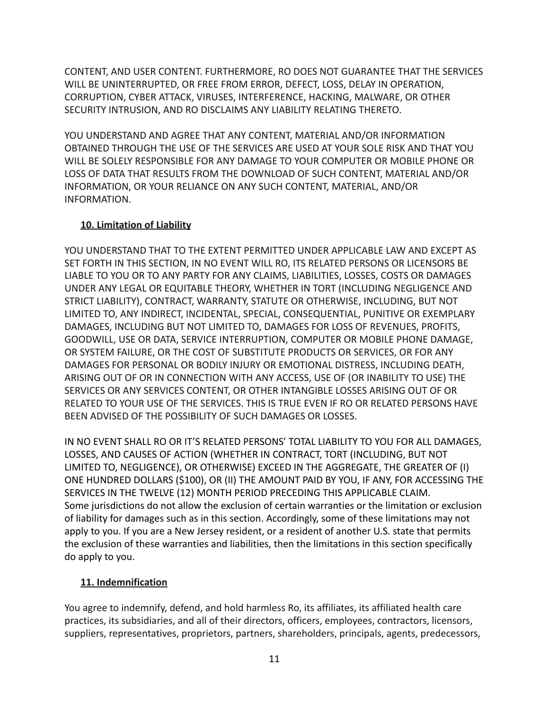CONTENT, AND USER CONTENT. FURTHERMORE, RO DOES NOT GUARANTEE THAT THE SERVICES WILL BE UNINTERRUPTED, OR FREE FROM ERROR, DEFECT, LOSS, DELAY IN OPERATION, CORRUPTION, CYBER ATTACK, VIRUSES, INTERFERENCE, HACKING, MALWARE, OR OTHER SECURITY INTRUSION, AND RO DISCLAIMS ANY LIABILITY RELATING THERETO.

YOU UNDERSTAND AND AGREE THAT ANY CONTENT, MATERIAL AND/OR INFORMATION OBTAINED THROUGH THE USE OF THE SERVICES ARE USED AT YOUR SOLE RISK AND THAT YOU WILL BE SOLELY RESPONSIBLE FOR ANY DAMAGE TO YOUR COMPUTER OR MOBILE PHONE OR LOSS OF DATA THAT RESULTS FROM THE DOWNLOAD OF SUCH CONTENT, MATERIAL AND/OR INFORMATION, OR YOUR RELIANCE ON ANY SUCH CONTENT, MATERIAL, AND/OR INFORMATION.

## **10. Limitation of Liability**

YOU UNDERSTAND THAT TO THE EXTENT PERMITTED UNDER APPLICABLE LAW AND EXCEPT AS SET FORTH IN THIS SECTION, IN NO EVENT WILL RO, ITS RELATED PERSONS OR LICENSORS BE LIABLE TO YOU OR TO ANY PARTY FOR ANY CLAIMS, LIABILITIES, LOSSES, COSTS OR DAMAGES UNDER ANY LEGAL OR EQUITABLE THEORY, WHETHER IN TORT (INCLUDING NEGLIGENCE AND STRICT LIABILITY), CONTRACT, WARRANTY, STATUTE OR OTHERWISE, INCLUDING, BUT NOT LIMITED TO, ANY INDIRECT, INCIDENTAL, SPECIAL, CONSEQUENTIAL, PUNITIVE OR EXEMPLARY DAMAGES, INCLUDING BUT NOT LIMITED TO, DAMAGES FOR LOSS OF REVENUES, PROFITS, GOODWILL, USE OR DATA, SERVICE INTERRUPTION, COMPUTER OR MOBILE PHONE DAMAGE, OR SYSTEM FAILURE, OR THE COST OF SUBSTITUTE PRODUCTS OR SERVICES, OR FOR ANY DAMAGES FOR PERSONAL OR BODILY INJURY OR EMOTIONAL DISTRESS, INCLUDING DEATH, ARISING OUT OF OR IN CONNECTION WITH ANY ACCESS, USE OF (OR INABILITY TO USE) THE SERVICES OR ANY SERVICES CONTENT, OR OTHER INTANGIBLE LOSSES ARISING OUT OF OR RELATED TO YOUR USE OF THE SERVICES. THIS IS TRUE EVEN IF RO OR RELATED PERSONS HAVE BEEN ADVISED OF THE POSSIBILITY OF SUCH DAMAGES OR LOSSES.

IN NO EVENT SHALL RO OR IT'S RELATED PERSONS' TOTAL LIABILITY TO YOU FOR ALL DAMAGES, LOSSES, AND CAUSES OF ACTION (WHETHER IN CONTRACT, TORT (INCLUDING, BUT NOT LIMITED TO, NEGLIGENCE), OR OTHERWISE) EXCEED IN THE AGGREGATE, THE GREATER OF (I) ONE HUNDRED DOLLARS (\$100), OR (II) THE AMOUNT PAID BY YOU, IF ANY, FOR ACCESSING THE SERVICES IN THE TWELVE (12) MONTH PERIOD PRECEDING THIS APPLICABLE CLAIM. Some jurisdictions do not allow the exclusion of certain warranties or the limitation or exclusion of liability for damages such as in this section. Accordingly, some of these limitations may not apply to you. If you are a New Jersey resident, or a resident of another U.S. state that permits the exclusion of these warranties and liabilities, then the limitations in this section specifically do apply to you.

## **11. Indemnification**

You agree to indemnify, defend, and hold harmless Ro, its affiliates, its affiliated health care practices, its subsidiaries, and all of their directors, officers, employees, contractors, licensors, suppliers, representatives, proprietors, partners, shareholders, principals, agents, predecessors,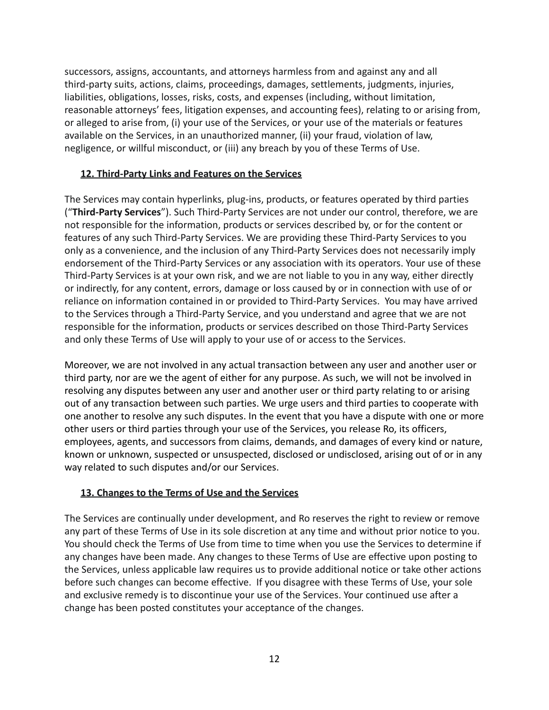successors, assigns, accountants, and attorneys harmless from and against any and all third-party suits, actions, claims, proceedings, damages, settlements, judgments, injuries, liabilities, obligations, losses, risks, costs, and expenses (including, without limitation, reasonable attorneys' fees, litigation expenses, and accounting fees), relating to or arising from, or alleged to arise from, (i) your use of the Services, or your use of the materials or features available on the Services, in an unauthorized manner, (ii) your fraud, violation of law, negligence, or willful misconduct, or (iii) any breach by you of these Terms of Use.

### **12. Third-Party Links and Features on the Services**

The Services may contain hyperlinks, plug-ins, products, or features operated by third parties ("**Third-Party Services**"). Such Third-Party Services are not under our control, therefore, we are not responsible for the information, products or services described by, or for the content or features of any such Third-Party Services. We are providing these Third-Party Services to you only as a convenience, and the inclusion of any Third-Party Services does not necessarily imply endorsement of the Third-Party Services or any association with its operators. Your use of these Third-Party Services is at your own risk, and we are not liable to you in any way, either directly or indirectly, for any content, errors, damage or loss caused by or in connection with use of or reliance on information contained in or provided to Third-Party Services. You may have arrived to the Services through a Third-Party Service, and you understand and agree that we are not responsible for the information, products or services described on those Third-Party Services and only these Terms of Use will apply to your use of or access to the Services.

Moreover, we are not involved in any actual transaction between any user and another user or third party, nor are we the agent of either for any purpose. As such, we will not be involved in resolving any disputes between any user and another user or third party relating to or arising out of any transaction between such parties. We urge users and third parties to cooperate with one another to resolve any such disputes. In the event that you have a dispute with one or more other users or third parties through your use of the Services, you release Ro, its officers, employees, agents, and successors from claims, demands, and damages of every kind or nature, known or unknown, suspected or unsuspected, disclosed or undisclosed, arising out of or in any way related to such disputes and/or our Services.

## **13. Changes to the Terms of Use and the Services**

The Services are continually under development, and Ro reserves the right to review or remove any part of these Terms of Use in its sole discretion at any time and without prior notice to you. You should check the Terms of Use from time to time when you use the Services to determine if any changes have been made. Any changes to these Terms of Use are effective upon posting to the Services, unless applicable law requires us to provide additional notice or take other actions before such changes can become effective. If you disagree with these Terms of Use, your sole and exclusive remedy is to discontinue your use of the Services. Your continued use after a change has been posted constitutes your acceptance of the changes.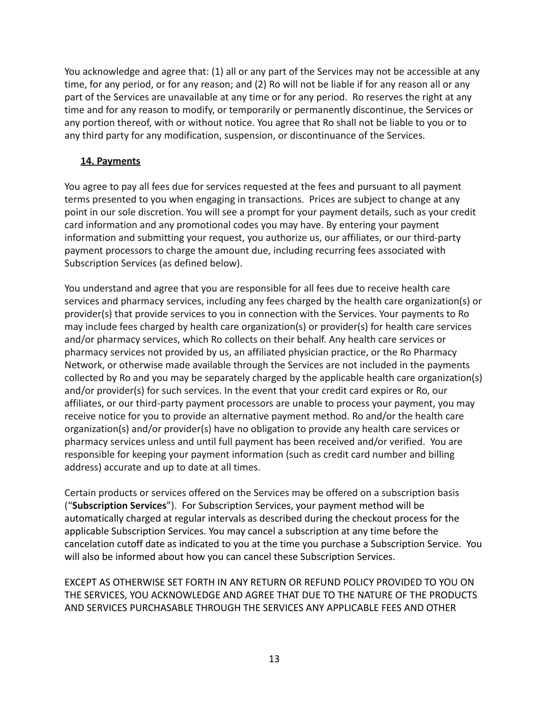You acknowledge and agree that: (1) all or any part of the Services may not be accessible at any time, for any period, or for any reason; and (2) Ro will not be liable if for any reason all or any part of the Services are unavailable at any time or for any period. Ro reserves the right at any time and for any reason to modify, or temporarily or permanently discontinue, the Services or any portion thereof, with or without notice. You agree that Ro shall not be liable to you or to any third party for any modification, suspension, or discontinuance of the Services.

## **14. Payments**

You agree to pay all fees due for services requested at the fees and pursuant to all payment terms presented to you when engaging in transactions. Prices are subject to change at any point in our sole discretion. You will see a prompt for your payment details, such as your credit card information and any promotional codes you may have. By entering your payment information and submitting your request, you authorize us, our affiliates, or our third-party payment processors to charge the amount due, including recurring fees associated with Subscription Services (as defined below).

You understand and agree that you are responsible for all fees due to receive health care services and pharmacy services, including any fees charged by the health care organization(s) or provider(s) that provide services to you in connection with the Services. Your payments to Ro may include fees charged by health care organization(s) or provider(s) for health care services and/or pharmacy services, which Ro collects on their behalf. Any health care services or pharmacy services not provided by us, an affiliated physician practice, or the Ro Pharmacy Network, or otherwise made available through the Services are not included in the payments collected by Ro and you may be separately charged by the applicable health care organization(s) and/or provider(s) for such services. In the event that your credit card expires or Ro, our affiliates, or our third-party payment processors are unable to process your payment, you may receive notice for you to provide an alternative payment method. Ro and/or the health care organization(s) and/or provider(s) have no obligation to provide any health care services or pharmacy services unless and until full payment has been received and/or verified. You are responsible for keeping your payment information (such as credit card number and billing address) accurate and up to date at all times.

Certain products or services offered on the Services may be offered on a subscription basis ("**Subscription Services**"). For Subscription Services, your payment method will be automatically charged at regular intervals as described during the checkout process for the applicable Subscription Services. You may cancel a subscription at any time before the cancelation cutoff date as indicated to you at the time you purchase a Subscription Service. You will also be informed about how you can cancel these Subscription Services.

EXCEPT AS OTHERWISE SET FORTH IN ANY RETURN OR REFUND POLICY PROVIDED TO YOU ON THE SERVICES, YOU ACKNOWLEDGE AND AGREE THAT DUE TO THE NATURE OF THE PRODUCTS AND SERVICES PURCHASABLE THROUGH THE SERVICES ANY APPLICABLE FEES AND OTHER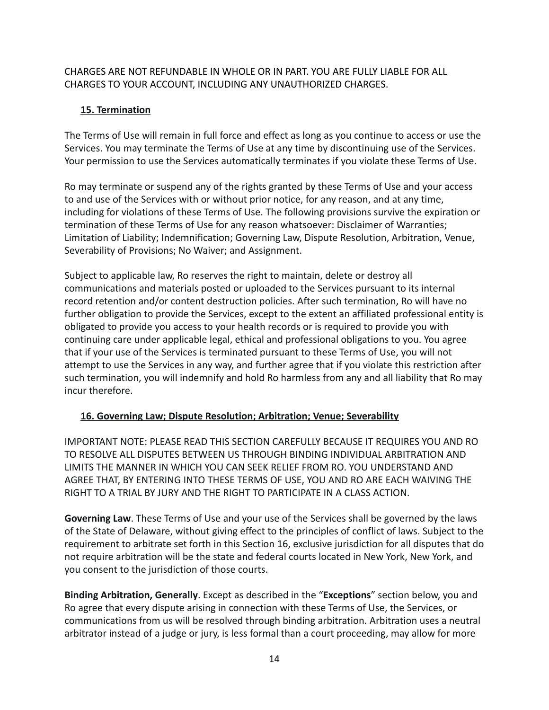## CHARGES ARE NOT REFUNDABLE IN WHOLE OR IN PART. YOU ARE FULLY LIABLE FOR ALL CHARGES TO YOUR ACCOUNT, INCLUDING ANY UNAUTHORIZED CHARGES.

## **15. Termination**

The Terms of Use will remain in full force and effect as long as you continue to access or use the Services. You may terminate the Terms of Use at any time by discontinuing use of the Services. Your permission to use the Services automatically terminates if you violate these Terms of Use.

Ro may terminate or suspend any of the rights granted by these Terms of Use and your access to and use of the Services with or without prior notice, for any reason, and at any time, including for violations of these Terms of Use. The following provisions survive the expiration or termination of these Terms of Use for any reason whatsoever: Disclaimer of Warranties; Limitation of Liability; Indemnification; Governing Law, Dispute Resolution, Arbitration, Venue, Severability of Provisions; No Waiver; and Assignment.

Subject to applicable law, Ro reserves the right to maintain, delete or destroy all communications and materials posted or uploaded to the Services pursuant to its internal record retention and/or content destruction policies. After such termination, Ro will have no further obligation to provide the Services, except to the extent an affiliated professional entity is obligated to provide you access to your health records or is required to provide you with continuing care under applicable legal, ethical and professional obligations to you. You agree that if your use of the Services is terminated pursuant to these Terms of Use, you will not attempt to use the Services in any way, and further agree that if you violate this restriction after such termination, you will indemnify and hold Ro harmless from any and all liability that Ro may incur therefore.

## **16. Governing Law; Dispute Resolution; Arbitration; Venue; Severability**

IMPORTANT NOTE: PLEASE READ THIS SECTION CAREFULLY BECAUSE IT REQUIRES YOU AND RO TO RESOLVE ALL DISPUTES BETWEEN US THROUGH BINDING INDIVIDUAL ARBITRATION AND LIMITS THE MANNER IN WHICH YOU CAN SEEK RELIEF FROM RO. YOU UNDERSTAND AND AGREE THAT, BY ENTERING INTO THESE TERMS OF USE, YOU AND RO ARE EACH WAIVING THE RIGHT TO A TRIAL BY JURY AND THE RIGHT TO PARTICIPATE IN A CLASS ACTION.

**Governing Law**. These Terms of Use and your use of the Services shall be governed by the laws of the State of Delaware, without giving effect to the principles of conflict of laws. Subject to the requirement to arbitrate set forth in this Section 16, exclusive jurisdiction for all disputes that do not require arbitration will be the state and federal courts located in New York, New York, and you consent to the jurisdiction of those courts.

**Binding Arbitration, Generally**. Except as described in the "**Exceptions**" section below, you and Ro agree that every dispute arising in connection with these Terms of Use, the Services, or communications from us will be resolved through binding arbitration. Arbitration uses a neutral arbitrator instead of a judge or jury, is less formal than a court proceeding, may allow for more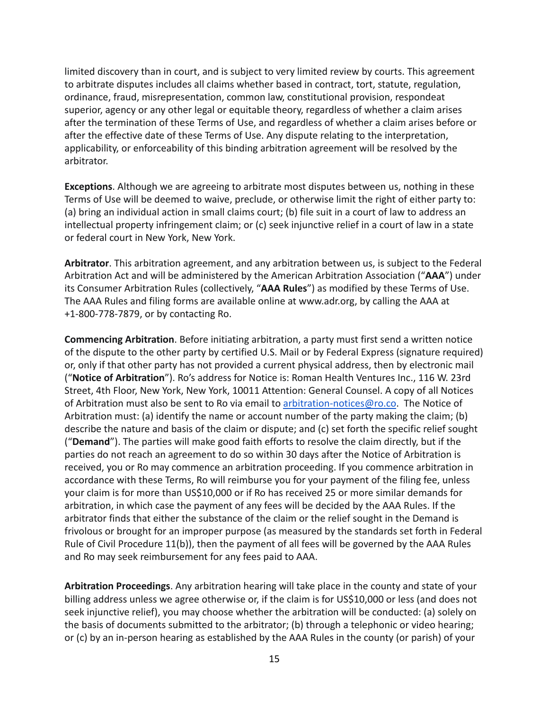limited discovery than in court, and is subject to very limited review by courts. This agreement to arbitrate disputes includes all claims whether based in contract, tort, statute, regulation, ordinance, fraud, misrepresentation, common law, constitutional provision, respondeat superior, agency or any other legal or equitable theory, regardless of whether a claim arises after the termination of these Terms of Use, and regardless of whether a claim arises before or after the effective date of these Terms of Use. Any dispute relating to the interpretation, applicability, or enforceability of this binding arbitration agreement will be resolved by the arbitrator.

**Exceptions**. Although we are agreeing to arbitrate most disputes between us, nothing in these Terms of Use will be deemed to waive, preclude, or otherwise limit the right of either party to: (a) bring an individual action in small claims court; (b) file suit in a court of law to address an intellectual property infringement claim; or (c) seek injunctive relief in a court of law in a state or federal court in New York, New York.

**Arbitrator**. This arbitration agreement, and any arbitration between us, is subject to the Federal Arbitration Act and will be administered by the American Arbitration Association ("**AAA**") under its Consumer Arbitration Rules (collectively, "**AAA Rules**") as modified by these Terms of Use. The AAA Rules and filing forms are available online at www.adr.org, by calling the AAA at +1-800-778-7879, or by contacting Ro.

**Commencing Arbitration**. Before initiating arbitration, a party must first send a written notice of the dispute to the other party by certified U.S. Mail or by Federal Express (signature required) or, only if that other party has not provided a current physical address, then by electronic mail ("**Notice of Arbitration**"). Ro's address for Notice is: Roman Health Ventures Inc., 116 W. 23rd Street, 4th Floor, New York, New York, 10011 Attention: General Counsel. A copy of all Notices of Arbitration must also be sent to Ro via email to [arbitration-notices@ro.co](mailto:arbitration-notices@ro.co). The Notice of Arbitration must: (a) identify the name or account number of the party making the claim; (b) describe the nature and basis of the claim or dispute; and (c) set forth the specific relief sought ("**Demand**"). The parties will make good faith efforts to resolve the claim directly, but if the parties do not reach an agreement to do so within 30 days after the Notice of Arbitration is received, you or Ro may commence an arbitration proceeding. If you commence arbitration in accordance with these Terms, Ro will reimburse you for your payment of the filing fee, unless your claim is for more than US\$10,000 or if Ro has received 25 or more similar demands for arbitration, in which case the payment of any fees will be decided by the AAA Rules. If the arbitrator finds that either the substance of the claim or the relief sought in the Demand is frivolous or brought for an improper purpose (as measured by the standards set forth in Federal Rule of Civil Procedure 11(b)), then the payment of all fees will be governed by the AAA Rules and Ro may seek reimbursement for any fees paid to AAA.

**Arbitration Proceedings**. Any arbitration hearing will take place in the county and state of your billing address unless we agree otherwise or, if the claim is for US\$10,000 or less (and does not seek injunctive relief), you may choose whether the arbitration will be conducted: (a) solely on the basis of documents submitted to the arbitrator; (b) through a telephonic or video hearing; or (c) by an in-person hearing as established by the AAA Rules in the county (or parish) of your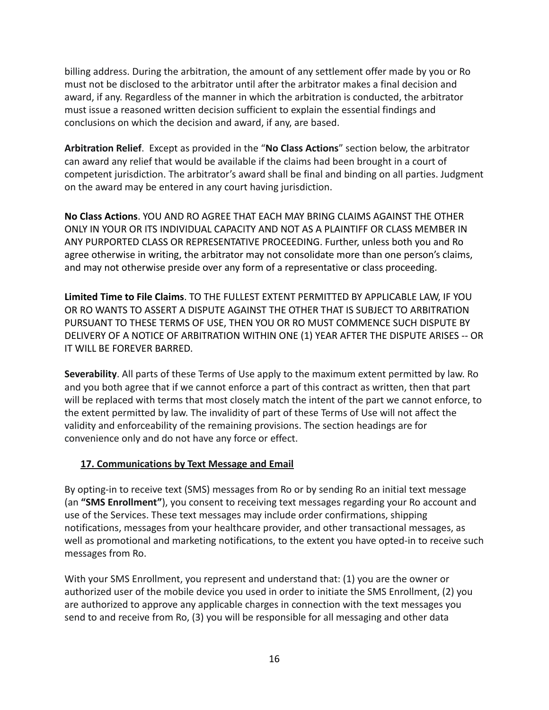billing address. During the arbitration, the amount of any settlement offer made by you or Ro must not be disclosed to the arbitrator until after the arbitrator makes a final decision and award, if any. Regardless of the manner in which the arbitration is conducted, the arbitrator must issue a reasoned written decision sufficient to explain the essential findings and conclusions on which the decision and award, if any, are based.

**Arbitration Relief**. Except as provided in the "**No Class Actions**" section below, the arbitrator can award any relief that would be available if the claims had been brought in a court of competent jurisdiction. The arbitrator's award shall be final and binding on all parties. Judgment on the award may be entered in any court having jurisdiction.

**No Class Actions**. YOU AND RO AGREE THAT EACH MAY BRING CLAIMS AGAINST THE OTHER ONLY IN YOUR OR ITS INDIVIDUAL CAPACITY AND NOT AS A PLAINTIFF OR CLASS MEMBER IN ANY PURPORTED CLASS OR REPRESENTATIVE PROCEEDING. Further, unless both you and Ro agree otherwise in writing, the arbitrator may not consolidate more than one person's claims, and may not otherwise preside over any form of a representative or class proceeding.

**Limited Time to File Claims**. TO THE FULLEST EXTENT PERMITTED BY APPLICABLE LAW, IF YOU OR RO WANTS TO ASSERT A DISPUTE AGAINST THE OTHER THAT IS SUBJECT TO ARBITRATION PURSUANT TO THESE TERMS OF USE, THEN YOU OR RO MUST COMMENCE SUCH DISPUTE BY DELIVERY OF A NOTICE OF ARBITRATION WITHIN ONE (1) YEAR AFTER THE DISPUTE ARISES -- OR IT WILL BE FOREVER BARRED.

**Severability**. All parts of these Terms of Use apply to the maximum extent permitted by law. Ro and you both agree that if we cannot enforce a part of this contract as written, then that part will be replaced with terms that most closely match the intent of the part we cannot enforce, to the extent permitted by law. The invalidity of part of these Terms of Use will not affect the validity and enforceability of the remaining provisions. The section headings are for convenience only and do not have any force or effect.

## **17. Communications by Text Message and Email**

By opting-in to receive text (SMS) messages from Ro or by sending Ro an initial text message (an **"SMS Enrollment"**), you consent to receiving text messages regarding your Ro account and use of the Services. These text messages may include order confirmations, shipping notifications, messages from your healthcare provider, and other transactional messages, as well as promotional and marketing notifications, to the extent you have opted-in to receive such messages from Ro.

With your SMS Enrollment, you represent and understand that: (1) you are the owner or authorized user of the mobile device you used in order to initiate the SMS Enrollment, (2) you are authorized to approve any applicable charges in connection with the text messages you send to and receive from Ro, (3) you will be responsible for all messaging and other data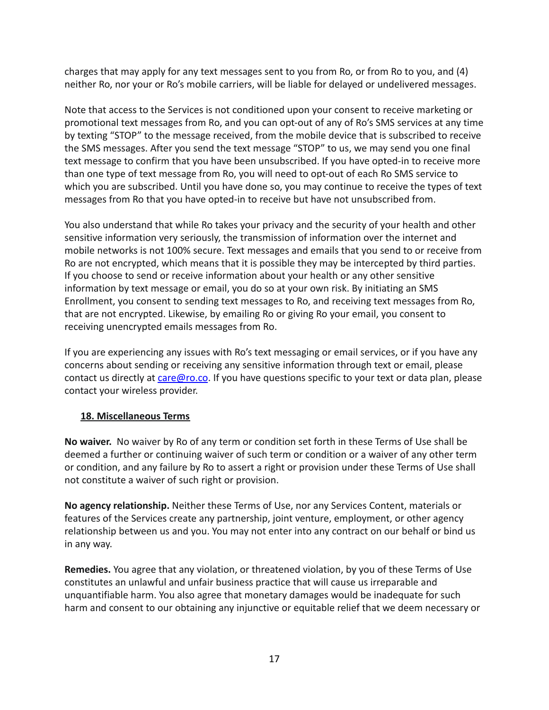charges that may apply for any text messages sent to you from Ro, or from Ro to you, and (4) neither Ro, nor your or Ro's mobile carriers, will be liable for delayed or undelivered messages.

Note that access to the Services is not conditioned upon your consent to receive marketing or promotional text messages from Ro, and you can opt-out of any of Ro's SMS services at any time by texting "STOP" to the message received, from the mobile device that is subscribed to receive the SMS messages. After you send the text message "STOP" to us, we may send you one final text message to confirm that you have been unsubscribed. If you have opted-in to receive more than one type of text message from Ro, you will need to opt-out of each Ro SMS service to which you are subscribed. Until you have done so, you may continue to receive the types of text messages from Ro that you have opted-in to receive but have not unsubscribed from.

You also understand that while Ro takes your privacy and the security of your health and other sensitive information very seriously, the transmission of information over the internet and mobile networks is not 100% secure. Text messages and emails that you send to or receive from Ro are not encrypted, which means that it is possible they may be intercepted by third parties. If you choose to send or receive information about your health or any other sensitive information by text message or email, you do so at your own risk. By initiating an SMS Enrollment, you consent to sending text messages to Ro, and receiving text messages from Ro, that are not encrypted. Likewise, by emailing Ro or giving Ro your email, you consent to receiving unencrypted emails messages from Ro.

If you are experiencing any issues with Ro's text messaging or email services, or if you have any concerns about sending or receiving any sensitive information through text or email, please contact us directly at [care@ro.co](mailto:care@ro.co). If you have questions specific to your text or data plan, please contact your wireless provider.

## **18. Miscellaneous Terms**

**No waiver.** No waiver by Ro of any term or condition set forth in these Terms of Use shall be deemed a further or continuing waiver of such term or condition or a waiver of any other term or condition, and any failure by Ro to assert a right or provision under these Terms of Use shall not constitute a waiver of such right or provision.

**No agency relationship.** Neither these Terms of Use, nor any Services Content, materials or features of the Services create any partnership, joint venture, employment, or other agency relationship between us and you. You may not enter into any contract on our behalf or bind us in any way.

**Remedies.** You agree that any violation, or threatened violation, by you of these Terms of Use constitutes an unlawful and unfair business practice that will cause us irreparable and unquantifiable harm. You also agree that monetary damages would be inadequate for such harm and consent to our obtaining any injunctive or equitable relief that we deem necessary or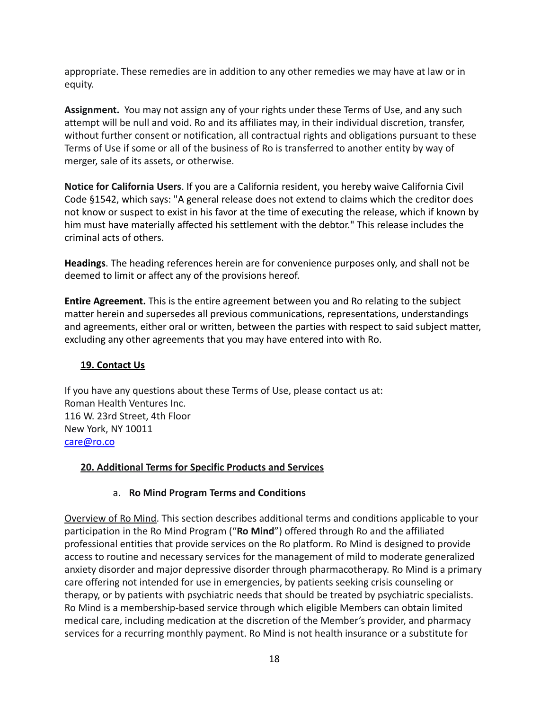appropriate. These remedies are in addition to any other remedies we may have at law or in equity.

**Assignment.** You may not assign any of your rights under these Terms of Use, and any such attempt will be null and void. Ro and its affiliates may, in their individual discretion, transfer, without further consent or notification, all contractual rights and obligations pursuant to these Terms of Use if some or all of the business of Ro is transferred to another entity by way of merger, sale of its assets, or otherwise.

**Notice for California Users**. If you are a California resident, you hereby waive California Civil Code §1542, which says: "A general release does not extend to claims which the creditor does not know or suspect to exist in his favor at the time of executing the release, which if known by him must have materially affected his settlement with the debtor." This release includes the criminal acts of others.

**Headings**. The heading references herein are for convenience purposes only, and shall not be deemed to limit or affect any of the provisions hereof.

**Entire Agreement.** This is the entire agreement between you and Ro relating to the subject matter herein and supersedes all previous communications, representations, understandings and agreements, either oral or written, between the parties with respect to said subject matter, excluding any other agreements that you may have entered into with Ro.

# **19. Contact Us**

If you have any questions about these Terms of Use, please contact us at: Roman Health Ventures Inc. 116 W. 23rd Street, 4th Floor New York, NY 10011 [care@ro.co](mailto:care@ro.co)

## **20. Additional Terms for Specific Products and Services**

## a. **Ro Mind Program Terms and Conditions**

Overview of Ro Mind. This section describes additional terms and conditions applicable to your participation in the Ro Mind Program ("**Ro Mind**") offered through Ro and the affiliated professional entities that provide services on the Ro platform. Ro Mind is designed to provide access to routine and necessary services for the management of mild to moderate generalized anxiety disorder and major depressive disorder through pharmacotherapy. Ro Mind is a primary care offering not intended for use in emergencies, by patients seeking crisis counseling or therapy, or by patients with psychiatric needs that should be treated by psychiatric specialists. Ro Mind is a membership-based service through which eligible Members can obtain limited medical care, including medication at the discretion of the Member's provider, and pharmacy services for a recurring monthly payment. Ro Mind is not health insurance or a substitute for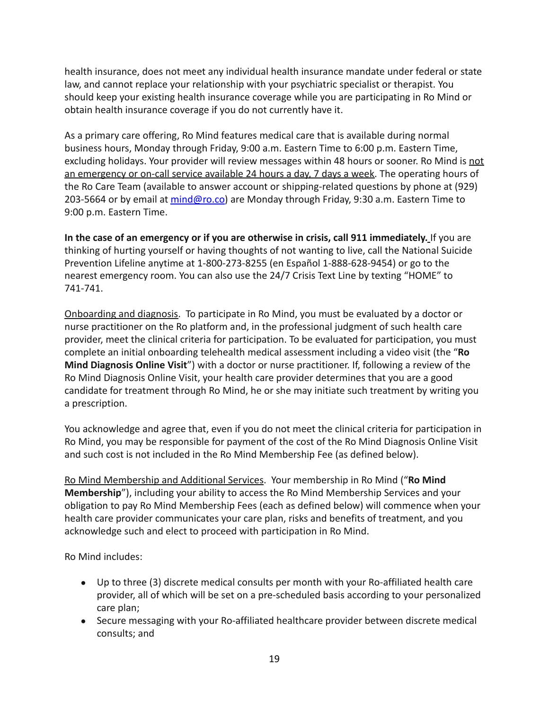health insurance, does not meet any individual health insurance mandate under federal or state law, and cannot replace your relationship with your psychiatric specialist or therapist. You should keep your existing health insurance coverage while you are participating in Ro Mind or obtain health insurance coverage if you do not currently have it.

As a primary care offering, Ro Mind features medical care that is available during normal business hours, Monday through Friday, 9:00 a.m. Eastern Time to 6:00 p.m. Eastern Time, excluding holidays. Your provider will review messages within 48 hours or sooner. Ro Mind is not an emergency or on-call service available 24 hours a day, 7 days a week. The operating hours of the Ro Care Team (available to answer account or shipping-related questions by phone at (929) 203-5664 or by email at [mind@ro.co\)](mailto:mind@ro.co) are Monday through Friday, 9:30 a.m. Eastern Time to 9:00 p.m. Eastern Time.

**In the case of an emergency or if you are otherwise in crisis, call 911 immediately.** If you are thinking of hurting yourself or having thoughts of not wanting to live, call the National Suicide Prevention Lifeline anytime at 1-800-273-8255 (en Español 1-888-628-9454) or go to the nearest emergency room. You can also use the 24/7 Crisis Text Line by texting "HOME" to 741-741.

Onboarding and diagnosis. To participate in Ro Mind, you must be evaluated by a doctor or nurse practitioner on the Ro platform and, in the professional judgment of such health care provider, meet the clinical criteria for participation. To be evaluated for participation, you must complete an initial onboarding telehealth medical assessment including a video visit (the "**Ro Mind Diagnosis Online Visit**") with a doctor or nurse practitioner. If, following a review of the Ro Mind Diagnosis Online Visit, your health care provider determines that you are a good candidate for treatment through Ro Mind, he or she may initiate such treatment by writing you a prescription.

You acknowledge and agree that, even if you do not meet the clinical criteria for participation in Ro Mind, you may be responsible for payment of the cost of the Ro Mind Diagnosis Online Visit and such cost is not included in the Ro Mind Membership Fee (as defined below).

Ro Mind Membership and Additional Services. Your membership in Ro Mind ("**Ro Mind Membership**"), including your ability to access the Ro Mind Membership Services and your obligation to pay Ro Mind Membership Fees (each as defined below) will commence when your health care provider communicates your care plan, risks and benefits of treatment, and you acknowledge such and elect to proceed with participation in Ro Mind.

Ro Mind includes:

- Up to three (3) discrete medical consults per month with your Ro-affiliated health care provider, all of which will be set on a pre-scheduled basis according to your personalized care plan;
- Secure messaging with your Ro-affiliated healthcare provider between discrete medical consults; and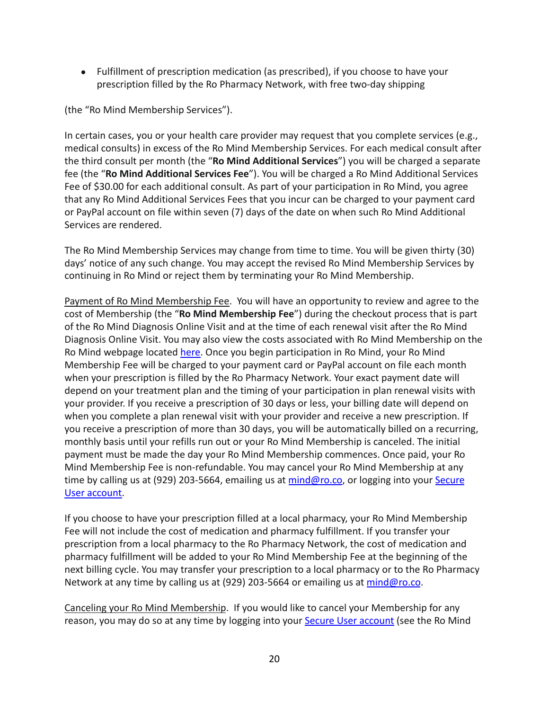● Fulfillment of prescription medication (as prescribed), if you choose to have your prescription filled by the Ro Pharmacy Network, with free two-day shipping

(the "Ro Mind Membership Services").

In certain cases, you or your health care provider may request that you complete services (e.g., medical consults) in excess of the Ro Mind Membership Services. For each medical consult after the third consult per month (the "**Ro Mind Additional Services**") you will be charged a separate fee (the "**Ro Mind Additional Services Fee**"). You will be charged a Ro Mind Additional Services Fee of \$30.00 for each additional consult. As part of your participation in Ro Mind, you agree that any Ro Mind Additional Services Fees that you incur can be charged to your payment card or PayPal account on file within seven (7) days of the date on when such Ro Mind Additional Services are rendered.

The Ro Mind Membership Services may change from time to time. You will be given thirty (30) days' notice of any such change. You may accept the revised Ro Mind Membership Services by continuing in Ro Mind or reject them by terminating your Ro Mind Membership.

Payment of Ro Mind Membership Fee. You will have an opportunity to review and agree to the cost of Membership (the "**Ro Mind Membership Fee**") during the checkout process that is part of the Ro Mind Diagnosis Online Visit and at the time of each renewal visit after the Ro Mind Diagnosis Online Visit. You may also view the costs associated with Ro Mind Membership on the Ro Mind webpage located [here.](http://www.ro.co/mind) Once you begin participation in Ro Mind, your Ro Mind Membership Fee will be charged to your payment card or PayPal account on file each month when your prescription is filled by the Ro Pharmacy Network. Your exact payment date will depend on your treatment plan and the timing of your participation in plan renewal visits with your provider. If you receive a prescription of 30 days or less, your billing date will depend on when you complete a plan renewal visit with your provider and receive a new prescription. If you receive a prescription of more than 30 days, you will be automatically billed on a recurring, monthly basis until your refills run out or your Ro Mind Membership is canceled. The initial payment must be made the day your Ro Mind Membership commences. Once paid, your Ro Mind Membership Fee is non-refundable. You may cancel your Ro Mind Membership at any time by calling us at (929) 203-5664, emailing us at [mind@ro.co,](mailto:mind@ro.co) or logging into your [Secure](https://my.ro.co/) [User account.](https://my.ro.co/)

If you choose to have your prescription filled at a local pharmacy, your Ro Mind Membership Fee will not include the cost of medication and pharmacy fulfillment. If you transfer your prescription from a local pharmacy to the Ro Pharmacy Network, the cost of medication and pharmacy fulfillment will be added to your Ro Mind Membership Fee at the beginning of the next billing cycle. You may transfer your prescription to a local pharmacy or to the Ro Pharmacy Network at any time by calling us at (929) 203-5664 or emailing us at [mind@ro.co](mailto:mind@ro.co).

Canceling your Ro Mind Membership. If you would like to cancel your Membership for any reason, you may do so at any time by logging into your [Secure User account](https://my.ro.co/) (see the Ro Mind